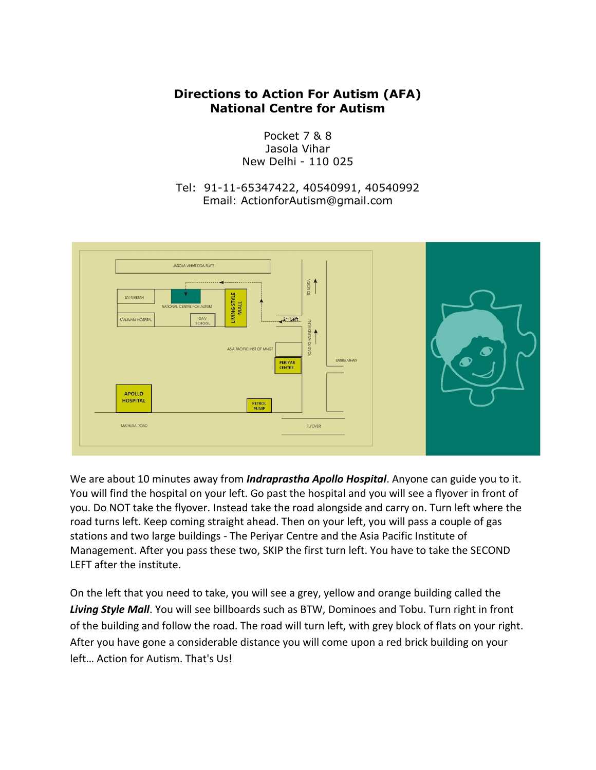## **Directions to Action For Autism (AFA) National Centre for Autism**

Pocket 7 & 8 Jasola Vihar New Delhi - 110 025

Tel: 91-11-65347422, 40540991, 40540992 Email: ActionforAutism@gmail.com



We are about 10 minutes away from *Indraprastha Apollo Hospital*. Anyone can guide you to it. You will find the hospital on your left. Go past the hospital and you will see a flyover in front of you. Do NOT take the flyover. Instead take the road alongside and carry on. Turn left where the road turns left. Keep coming straight ahead. Then on your left, you will pass a couple of gas stations and two large buildings - The Periyar Centre and the Asia Pacific Institute of Management. After you pass these two, SKIP the first turn left. You have to take the SECOND LEFT after the institute.

On the left that you need to take, you will see a grey, yellow and orange building called the *Living Style Mall*. You will see billboards such as BTW, Dominoes and Tobu. Turn right in front of the building and follow the road. The road will turn left, with grey block of flats on your right. After you have gone a considerable distance you will come upon a red brick building on your left… Action for Autism. That's Us!